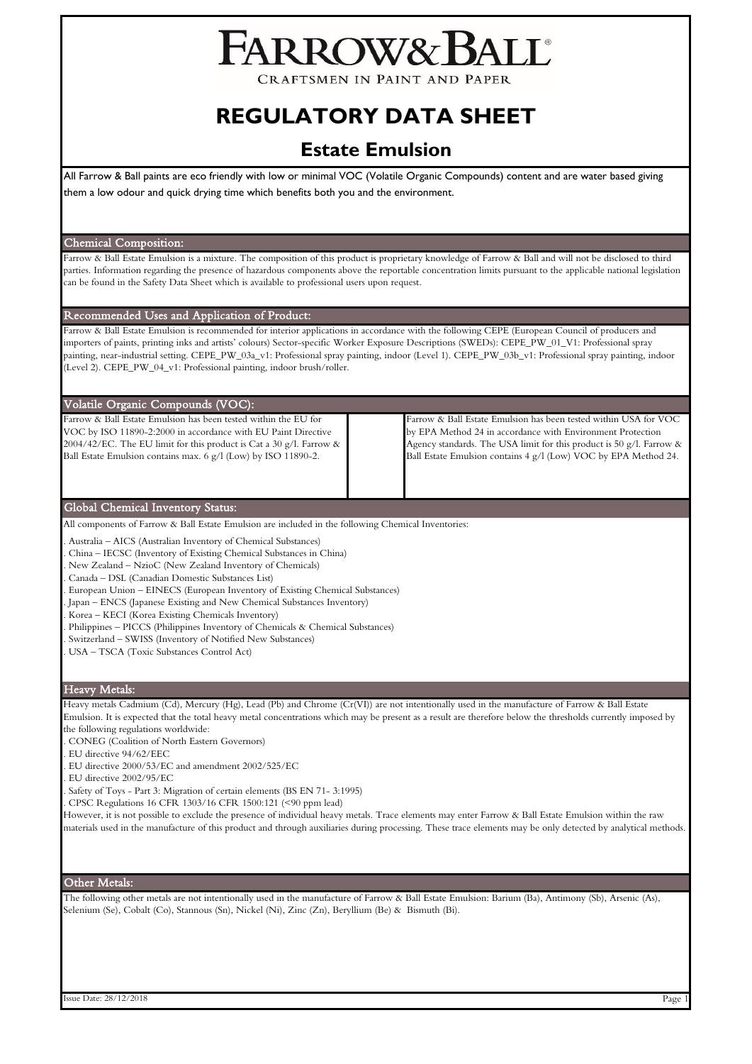# FARROW&BALL

CRAFTSMEN IN PAINT AND PAPER

## **REGULATORY DATA SHEET**

### **Estate Emulsion**

All Farrow & Ball paints are eco friendly with low or minimal VOC (Volatile Organic Compounds) content and are water based giving them a low odour and quick drying time which benefits both you and the environment.

#### Chemical Composition:

Farrow & Ball Estate Emulsion is a mixture. The composition of this product is proprietary knowledge of Farrow & Ball and will not be disclosed to third parties. Information regarding the presence of hazardous components above the reportable concentration limits pursuant to the applicable national legislation can be found in the Safety Data Sheet which is available to professional users upon request.

#### Recommended Uses and Application of Product:

Farrow & Ball Estate Emulsion is recommended for interior applications in accordance with the following CEPE (European Council of producers and importers of paints, printing inks and artists' colours) Sector-specific Worker Exposure Descriptions (SWEDs): CEPE\_PW\_01\_V1: Professional spray painting, near-industrial setting. CEPE\_PW\_03a\_v1: Professional spray painting, indoor (Level 1). CEPE\_PW\_03b\_v1: Professional spray painting, indoor (Level 2). CEPE\_PW\_04\_v1: Professional painting, indoor brush/roller.

#### Volatile Organic Compounds (VOC):

Farrow & Ball Estate Emulsion has been tested within the EU for VOC by ISO 11890-2:2000 in accordance with EU Paint Directive 2004/42/EC. The EU limit for this product is Cat a 30 g/l. Farrow & Ball Estate Emulsion contains max. 6 g/l (Low) by ISO 11890-2.

Farrow & Ball Estate Emulsion has been tested within USA for VOC by EPA Method 24 in accordance with Environment Protection Agency standards. The USA limit for this product is 50 g/l. Farrow & Ball Estate Emulsion contains 4 g/l (Low) VOC by EPA Method 24.

#### Global Chemical Inventory Status:

All components of Farrow & Ball Estate Emulsion are included in the following Chemical Inventories:

- . Australia AICS (Australian Inventory of Chemical Substances)
- . China IECSC (Inventory of Existing Chemical Substances in China)
- . New Zealand NzioC (New Zealand Inventory of Chemicals)
- . Canada DSL (Canadian Domestic Substances List)
- . European Union EINECS (European Inventory of Existing Chemical Substances)
- . Japan ENCS (Japanese Existing and New Chemical Substances Inventory)
- . Korea KECI (Korea Existing Chemicals Inventory)
- . Philippines PICCS (Philippines Inventory of Chemicals & Chemical Substances)
- . Switzerland SWISS (Inventory of Notified New Substances)
- . USA TSCA (Toxic Substances Control Act)

#### Heavy Metals:

Heavy metals Cadmium (Cd), Mercury (Hg), Lead (Pb) and Chrome (Cr(VI)) are not intentionally used in the manufacture of Farrow & Ball Estate Emulsion. It is expected that the total heavy metal concentrations which may be present as a result are therefore below the thresholds currently imposed by the following regulations worldwide:

- . CONEG (Coalition of North Eastern Governors)
- . EU directive 94/62/EEC
- . EU directive 2000/53/EC and amendment 2002/525/EC
- . EU directive 2002/95/EC
- . Safety of Toys Part 3: Migration of certain elements (BS EN 71- 3:1995)
- . CPSC Regulations 16 CFR 1303/16 CFR 1500:121 (<90 ppm lead)

However, it is not possible to exclude the presence of individual heavy metals. Trace elements may enter Farrow & Ball Estate Emulsion within the raw materials used in the manufacture of this product and through auxiliaries during processing. These trace elements may be only detected by analytical methods.

#### Other Metals:

The following other metals are not intentionally used in the manufacture of Farrow & Ball Estate Emulsion: Barium (Ba), Antimony (Sb), Arsenic (As), Selenium (Se), Cobalt (Co), Stannous (Sn), Nickel (Ni), Zinc (Zn), Beryllium (Be) & Bismuth (Bi).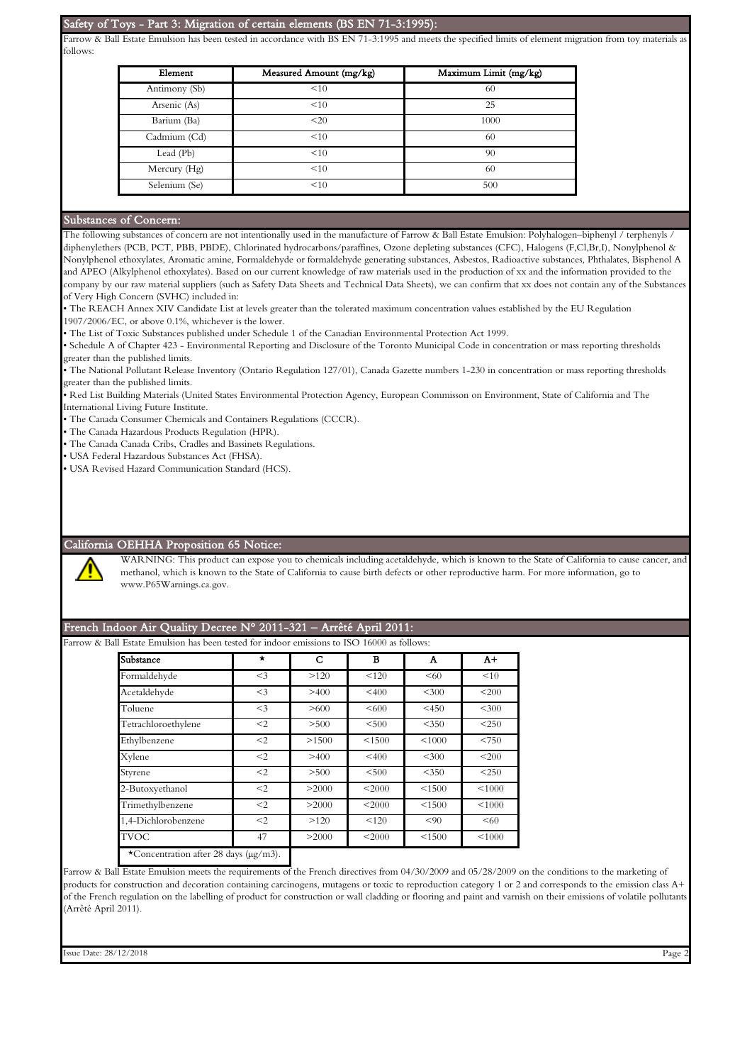#### Safety of Toys - Part 3: Migration of certain elements (BS EN 71-3:1995):

Farrow & Ball Estate Emulsion has been tested in accordance with BS EN 71-3:1995 and meets the specified limits of element migration from toy materials a follows:

| Element       | Measured Amount (mg/kg) | Maximum Limit (mg/kg) |  |  |
|---------------|-------------------------|-----------------------|--|--|
| Antimony (Sb) | <10                     | 60                    |  |  |
| Arsenic (As)  | <10                     | 25                    |  |  |
| Barium (Ba)   | <20                     | 1000                  |  |  |
| Cadmium (Cd)  | <10                     | 60                    |  |  |
| Lead (Pb)     | <10                     | 90                    |  |  |
| Mercury (Hg)  | <10                     | 60                    |  |  |
| Selenium (Se) | <10                     | 500                   |  |  |

#### Substances of Concern:

The following substances of concern are not intentionally used in the manufacture of Farrow & Ball Estate Emulsion: Polyhalogen–biphenyl / terphenyls / diphenylethers (PCB, PCT, PBB, PBDE), Chlorinated hydrocarbons/paraffines, Ozone depleting substances (CFC), Halogens (F,Cl,Br,I), Nonylphenol & Nonylphenol ethoxylates, Aromatic amine, Formaldehyde or formaldehyde generating substances, Asbestos, Radioactive substances, Phthalates, Bisphenol A and APEO (Alkylphenol ethoxylates). Based on our current knowledge of raw materials used in the production of xx and the information provided to the company by our raw material suppliers (such as Safety Data Sheets and Technical Data Sheets), we can confirm that xx does not contain any of the Substances of Very High Concern (SVHC) included in:

• The REACH Annex XIV Candidate List at levels greater than the tolerated maximum concentration values established by the EU Regulation 1907/2006/EC, or above 0.1%, whichever is the lower.

• The List of Toxic Substances published under Schedule 1 of the Canadian Environmental Protection Act 1999.

• Schedule A of Chapter 423 - Environmental Reporting and Disclosure of the Toronto Municipal Code in concentration or mass reporting thresholds greater than the published limits.

• The National Pollutant Release Inventory (Ontario Regulation 127/01), Canada Gazette numbers 1-230 in concentration or mass reporting thresholds greater than the published limits.

• Red List Building Materials (United States Environmental Protection Agency, European Commisson on Environment, State of California and The International Living Future Institute.

• The Canada Consumer Chemicals and Containers Regulations (CCCR).

• The Canada Hazardous Products Regulation (HPR).

• The Canada Canada Cribs, Cradles and Bassinets Regulations.

• USA Federal Hazardous Substances Act (FHSA).

• USA Revised Hazard Communication Standard (HCS).

#### California OEHHA Proposition 65 Notice:

WARNING: This product can expose you to chemicals including acetaldehyde, which is known to the State of California to cause cancer, and methanol, which is known to the State of California to cause birth defects or other reproductive harm. For more information, go to www.P65Warnings.ca.gov.

#### French Indoor Air Quality Decree N° 2011-321 – Arrêté April 2011:

Farrow & Ball Estate Emulsion has been tested for indoor emissions to ISO 16000 as follows:

| $\star$ | С     | в      | A       | $A+$        |
|---------|-------|--------|---------|-------------|
| $<$ 3   | >120  | < 120  | < 60    | <10         |
| $<$ 3   | >400  | < 400  | < 300   | < 200       |
| $<$ 3   | >600  | <600   | $<$ 450 | < 300       |
| $<$ 2   | > 500 | < 500  | $<$ 350 | $<$ 250     |
| $<$ 2   | >1500 | < 1500 | < 1000  | < 750       |
| $<$ 2   | >400  | < 400  | $<$ 300 | <200        |
| $<$ 2   | > 500 | < 500  | $<$ 350 | < 250       |
| $<$ 2   | >2000 | < 2000 | < 1500  | < 1000      |
| $<$ 2   | >2000 | < 2000 | < 1500  | ${}_{5000}$ |
| $<$ 2   | >120  | < 120  | < 90    | <60         |
| 47      | >2000 | < 2000 | < 1500  | < 1000      |
|         |       |        |         |             |

Farrow & Ball Estate Emulsion meets the requirements of the French directives from 04/30/2009 and 05/28/2009 on the conditions to the marketing of products for construction and decoration containing carcinogens, mutagens or toxic to reproduction category 1 or 2 and corresponds to the emission class A+ of the French regulation on the labelling of product for construction or wall cladding or flooring and paint and varnish on their emissions of volatile pollutants (Arrêté April 2011).

Issue Date: 28/12/2018 Page 2